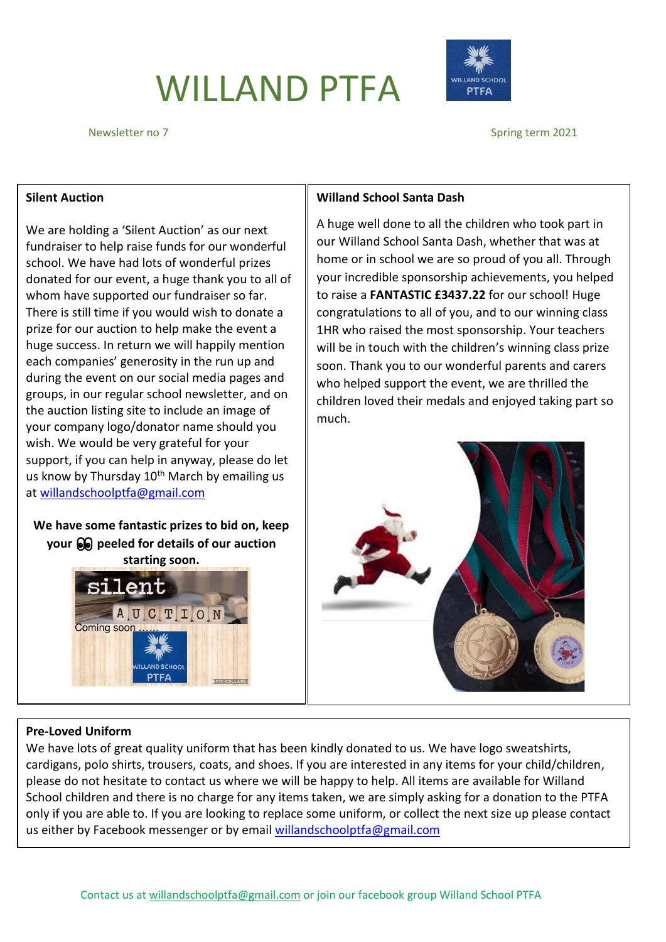# WILLAND PTFA



Newsletter no 7 Spring term 2021

### **Silent Auction**

We are holding a 'Silent Auction' as our next fundraiser to help raise funds for our wonderful school. We have had lots of wonderful prizes donated for our event, a huge thank you to all of whom have supported our fundraiser so far. There is still time if you would wish to donate a prize for our auction to help make the event a huge success. In return we will happily mention each companies' generosity in the run up and during the event on our social media pages and groups, in our regular school newsletter, and on the auction listing site to include an image of your company logo/donator name should you wish. We would be very grateful for your support, if you can help in anyway, please do let us know by Thursday  $10^{th}$  March by emailing us at [willandschoolptfa@gmail.com](mailto:willandschoolptfa@gmail.com)

**We have some fantastic prizes to bid on, keep your peeled for details of our auction** 



### **Willand School Santa Dash**

A huge well done to all the children who took part in our Willand School Santa Dash, whether that was at home or in school we are so proud of you all. Through your incredible sponsorship achievements, you helped to raise a **FANTASTIC £3437.22** for our school! Huge congratulations to all of you, and to our winning class 1HR who raised the most sponsorship. Your teachers will be in touch with the children's winning class prize soon. Thank you to our wonderful parents and carers who helped support the event, we are thrilled the children loved their medals and enjoyed taking part so much.



### **Pre-Loved Uniform**

We have lots of great quality uniform that has been kindly donated to us. We have logo sweatshirts, cardigans, polo shirts, trousers, coats, and shoes. If you are interested in any items for your child/children, please do not hesitate to contact us where we will be happy to help. All items are available for Willand School children and there is no charge for any items taken, we are simply asking for a donation to the PTFA only if you are able to. If you are looking to replace some uniform, or collect the next size up please contact us either by Facebook messenger or by email [willandschoolptfa@gmail.com](mailto:willandschoolptfa@gmail.com)